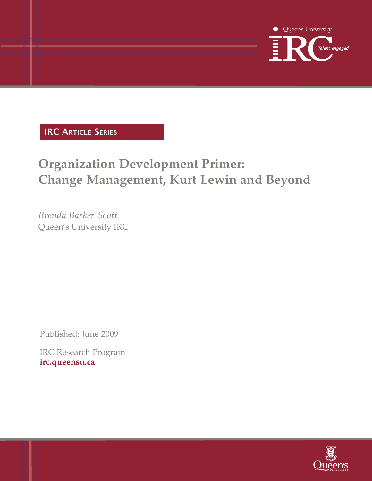

## **IRC ARtICle SeRIeS**

# **Organization Development Primer: Change Management, Kurt Lewin and Beyond**

*Brenda Barker Scott* Queen's University IRC

Published: June 2009

IRC Research Program **irc.queensu.ca**

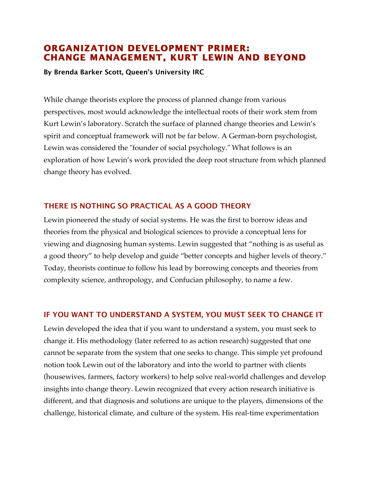## **ORGANIZATION DEVELOPMENT PRIMER: CHANGE MANAGEMENT, KURT LEWIN AND BEYOND**

**By Brenda Barker Scott, Queen's University IRC** 

While change theorists explore the process of planned change from various perspectives, most would acknowledge the intellectual roots of their work stem from Kurt Lewin's laboratory. Scratch the surface of planned change theories and Lewin's spirit and conceptual framework will not be far below. A German-born psychologist, Lewin was considered the "founder of social psychology." What follows is an exploration of how Lewin's work provided the deep root structure from which planned change theory has evolved.

## THERE IS NOTHING SO PRACTICAL AS A GOOD THEORY

Lewin pioneered the study of social systems. He was the first to borrow ideas and theories from the physical and biological sciences to provide a conceptual lens for viewing and diagnosing human systems. Lewin suggested that "nothing is as useful as a good theory" to help develop and guide "better concepts and higher levels of theory." Today, theorists continue to follow his lead by borrowing concepts and theories from complexity science, anthropology, and Confucian philosophy, to name a few.

## IF YOU WANT TO UNDERSTAND A SYSTEM, YOU MUST SEEK TO CHANGE IT

Lewin developed the idea that if you want to understand a system, you must seek to change it. His methodology (later referred to as action research) suggested that one cannot be separate from the system that one seeks to change. This simple yet profound notion took Lewin out of the laboratory and into the world to partner with clients (housewives, farmers, factory workers) to help solve real-world challenges and develop insights into change theory. Lewin recognized that every action research initiative is different, and that diagnosis and solutions are unique to the players, dimensions of the challenge, historical climate, and culture of the system. His real-time experimentation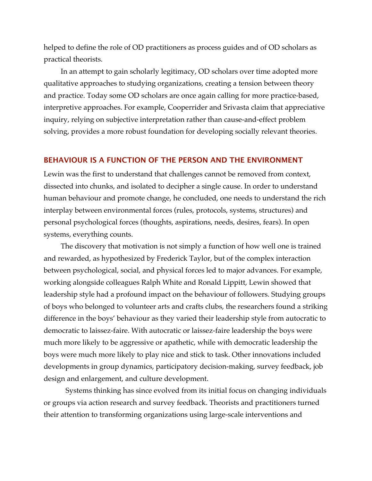helped to define the role of OD practitioners as process guides and of OD scholars as practical theorists.

In an attempt to gain scholarly legitimacy, OD scholars over time adopted more qualitative approaches to studying organizations, creating a tension between theory and practice. Today some OD scholars are once again calling for more practice-based, interpretive approaches. For example, Cooperrider and Srivasta claim that appreciative inquiry, relying on subjective interpretation rather than cause-and-effect problem solving, provides a more robust foundation for developing socially relevant theories.

#### BEHAVIOUR IS A FUNCTION OF THE PERSON AND THE ENVIRONMENT

Lewin was the first to understand that challenges cannot be removed from context, dissected into chunks, and isolated to decipher a single cause. In order to understand human behaviour and promote change, he concluded, one needs to understand the rich interplay between environmental forces (rules, protocols, systems, structures) and personal psychological forces (thoughts, aspirations, needs, desires, fears). In open systems, everything counts.

The discovery that motivation is not simply a function of how well one is trained and rewarded, as hypothesized by Frederick Taylor, but of the complex interaction between psychological, social, and physical forces led to major advances. For example, working alongside colleagues Ralph White and Ronald Lippitt, Lewin showed that leadership style had a profound impact on the behaviour of followers. Studying groups of boys who belonged to volunteer arts and crafts clubs, the researchers found a striking difference in the boys' behaviour as they varied their leadership style from autocratic to democratic to laissez-faire. With autocratic or laissez-faire leadership the boys were much more likely to be aggressive or apathetic, while with democratic leadership the boys were much more likely to play nice and stick to task. Other innovations included developments in group dynamics, participatory decision-making, survey feedback, job design and enlargement, and culture development.

Systems thinking has since evolved from its initial focus on changing individuals or groups via action research and survey feedback. Theorists and practitioners turned their attention to transforming organizations using large-scale interventions and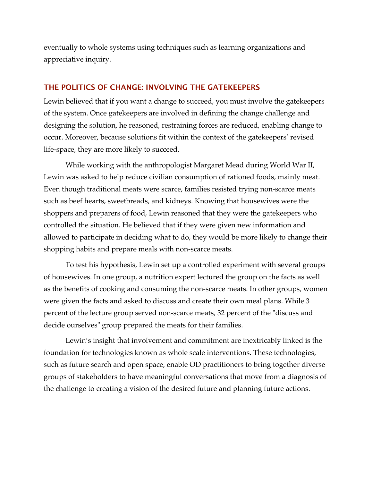eventually to whole systems using techniques such as learning organizations and appreciative inquiry.

#### THE POLITICS OF CHANGE: INVOLVING THE GATEKEEPERS

Lewin believed that if you want a change to succeed, you must involve the gatekeepers of the system. Once gatekeepers are involved in defining the change challenge and designing the solution, he reasoned, restraining forces are reduced, enabling change to occur. Moreover, because solutions fit within the context of the gatekeepers' revised life-space, they are more likely to succeed.

While working with the anthropologist Margaret Mead during World War II, Lewin was asked to help reduce civilian consumption of rationed foods, mainly meat. Even though traditional meats were scarce, families resisted trying non-scarce meats such as beef hearts, sweetbreads, and kidneys. Knowing that housewives were the shoppers and preparers of food, Lewin reasoned that they were the gatekeepers who controlled the situation. He believed that if they were given new information and allowed to participate in deciding what to do, they would be more likely to change their shopping habits and prepare meals with non-scarce meats.

To test his hypothesis, Lewin set up a controlled experiment with several groups of housewives. In one group, a nutrition expert lectured the group on the facts as well as the benefits of cooking and consuming the non-scarce meats. In other groups, women were given the facts and asked to discuss and create their own meal plans. While 3 percent of the lecture group served non-scarce meats, 32 percent of the "discuss and decide ourselves" group prepared the meats for their families.

Lewin's insight that involvement and commitment are inextricably linked is the foundation for technologies known as whole scale interventions. These technologies, such as future search and open space, enable OD practitioners to bring together diverse groups of stakeholders to have meaningful conversations that move from a diagnosis of the challenge to creating a vision of the desired future and planning future actions.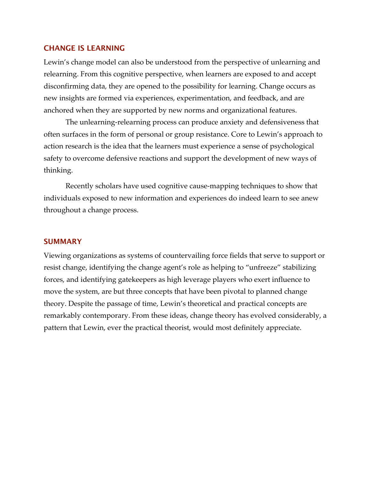#### CHANGE IS LEARNING

Lewin's change model can also be understood from the perspective of unlearning and relearning. From this cognitive perspective, when learners are exposed to and accept disconfirming data, they are opened to the possibility for learning. Change occurs as new insights are formed via experiences, experimentation, and feedback, and are anchored when they are supported by new norms and organizational features.

The unlearning-relearning process can produce anxiety and defensiveness that often surfaces in the form of personal or group resistance. Core to Lewin's approach to action research is the idea that the learners must experience a sense of psychological safety to overcome defensive reactions and support the development of new ways of thinking.

Recently scholars have used cognitive cause-mapping techniques to show that individuals exposed to new information and experiences do indeed learn to see anew throughout a change process.

#### SUMMARY

Viewing organizations as systems of countervailing force fields that serve to support or resist change, identifying the change agent's role as helping to "unfreeze" stabilizing forces, and identifying gatekeepers as high leverage players who exert influence to move the system, are but three concepts that have been pivotal to planned change theory. Despite the passage of time, Lewin's theoretical and practical concepts are remarkably contemporary. From these ideas, change theory has evolved considerably, a pattern that Lewin, ever the practical theorist, would most definitely appreciate.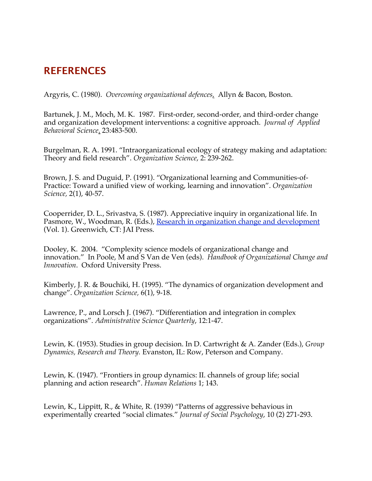# **REFERENCES**

Argyris, C. (1980). *Overcoming organizational defences,* Allyn & Bacon, Boston.

Bartunek, J. M., Moch, M. K. 1987. First-order, second-order, and third-order change and organization development interventions: a cognitive approach. *Journal of Applied Behavioral Science*. 23:483-500.

Burgelman, R. A. 1991. "Intraorganizational ecology of strategy making and adaptation: Theory and field research". *Organization Science*, 2: 239-262.

Brown, J. S. and Duguid, P. (1991). "Organizational learning and Communities-of-Practice: Toward a unified view of working, learning and innovation". *Organization Science,* 2(1), 40-57.

Cooperrider, D. L., Srivastva, S. (1987). Appreciative inquiry in organizational life. In Pasmore, W., Woodman, R. (Eds.), Research in organization change and development (Vol. 1). Greenwich, CT: JAI Press.

Dooley, K. 2004. "Complexity science models of organizational change and innovation." In Poole, M and S Van de Ven (eds). *Handbook of Organizational Change and Innovation*. Oxford University Press.

Kimberly, J. R. & Bouchiki, H. (1995). "The dynamics of organization development and change". *Organization Science,* 6(1), 9-18.

Lawrence, P., and Lorsch J. (1967). "Differentiation and integration in complex organizations". *Administrative Science Quarterly*, 12:1-47.

Lewin, K. (1953). Studies in group decision. In D. Cartwright & A. Zander (Eds.), *Group Dynamics, Research and Theory.* Evanston, IL: Row, Peterson and Company.

Lewin, K. (1947). "Frontiers in group dynamics: II. channels of group life; social planning and action research". *Human Relations* 1; 143.

Lewin, K., Lippitt, R., & White, R. (1939) "Patterns of aggressive behavious in experimentally crearted "social climates." *Journal of Social Psychology*, 10 (2) 271-293.